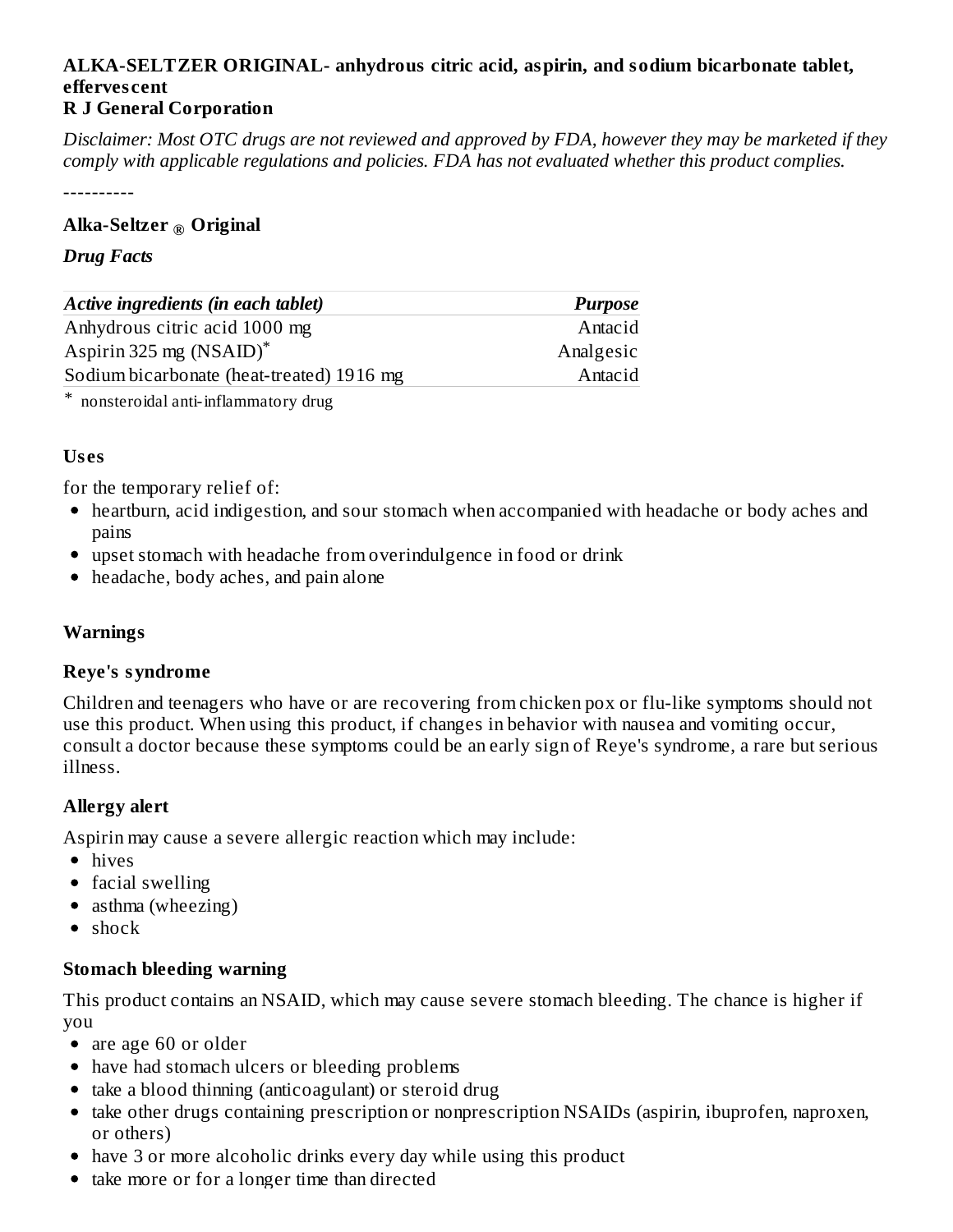#### **ALKA-SELTZER ORIGINAL- anhydrous citric acid, aspirin, and sodium bicarbonate tablet, efferves cent R J General Corporation**

Disclaimer: Most OTC drugs are not reviewed and approved by FDA, however they may be marketed if they *comply with applicable regulations and policies. FDA has not evaluated whether this product complies.*

----------

# **Alka-Seltzer Original ®**

#### *Drug Facts*

| Active ingredients (in each tablet)       | <b>Purpose</b> |  |  |
|-------------------------------------------|----------------|--|--|
| Anhydrous citric acid 1000 mg             | Antacid        |  |  |
| Aspirin 325 mg $(NSAID)^*$                | Analgesic      |  |  |
| Sodium bicarbonate (heat-treated) 1916 mg | Antacid        |  |  |
|                                           |                |  |  |

\* nonsteroidal anti-inflammatory drug

# **Us es**

for the temporary relief of:

- heartburn, acid indigestion, and sour stomach when accompanied with headache or body aches and pains
- upset stomach with headache from overindulgence in food or drink
- headache, body aches, and pain alone

# **Warnings**

#### **Reye's syndrome**

Children and teenagers who have or are recovering from chicken pox or flu-like symptoms should not use this product. When using this product, if changes in behavior with nausea and vomiting occur, consult a doctor because these symptoms could be an early sign of Reye's syndrome, a rare but serious illness.

# **Allergy alert**

Aspirin may cause a severe allergic reaction which may include:

- hives
- facial swelling
- asthma (wheezing)
- $\bullet$  shock

# **Stomach bleeding warning**

This product contains an NSAID, which may cause severe stomach bleeding. The chance is higher if you

• are age 60 or older

- have had stomach ulcers or bleeding problems
- take a blood thinning (anticoagulant) or steroid drug
- take other drugs containing prescription or nonprescription NSAIDs (aspirin, ibuprofen, naproxen, or others)
- have 3 or more alcoholic drinks every day while using this product
- take more or for a longer time than directed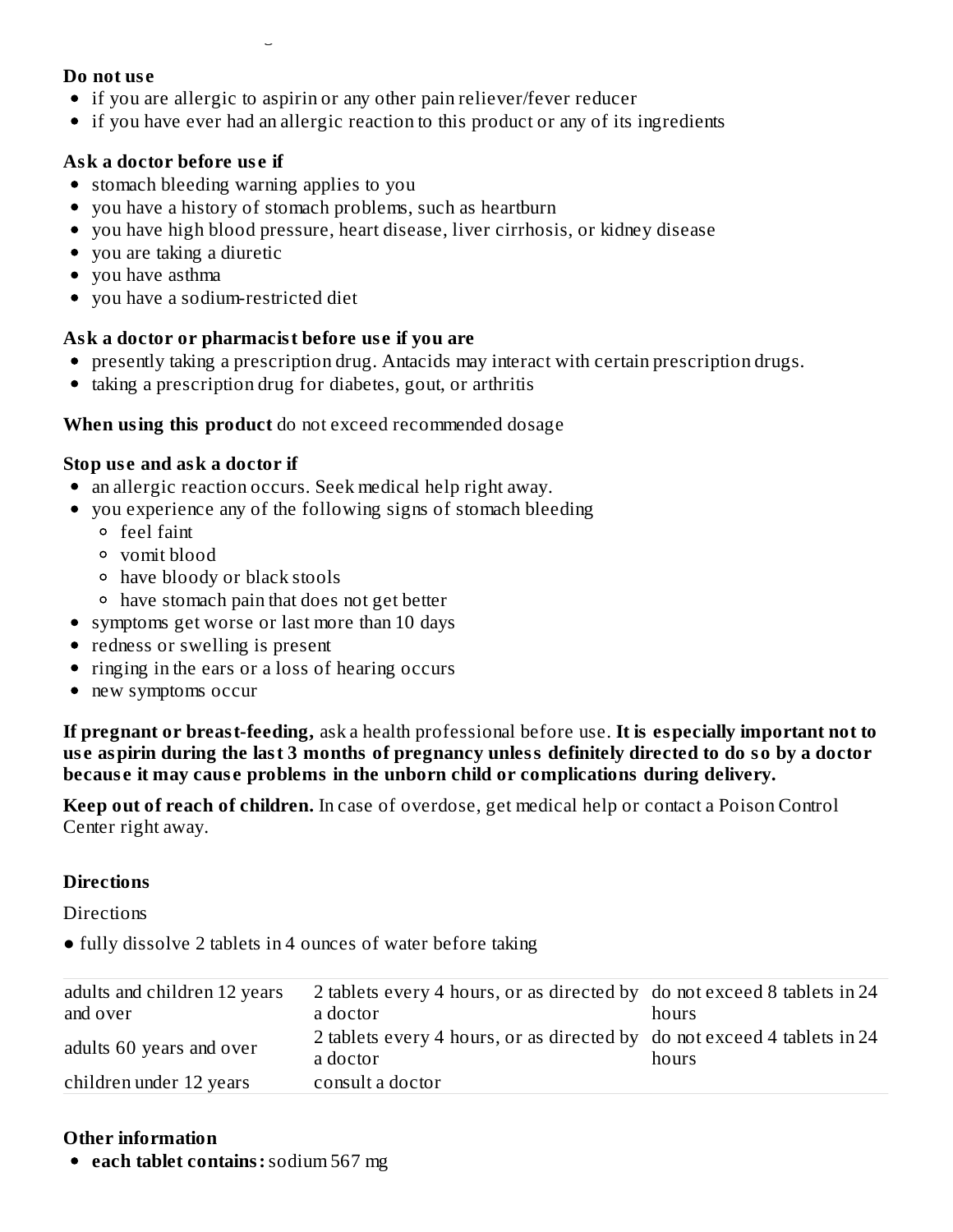#### **Do not us e**

- if you are allergic to aspirin or any other pain reliever/fever reducer
- if you have ever had an allergic reaction to this product or any of its ingredients

# **Ask a doctor before us e if**

stomach bleeding warning applies to you

take more or for a longer time than directed

- you have a history of stomach problems, such as heartburn
- you have high blood pressure, heart disease, liver cirrhosis, or kidney disease
- you are taking a diuretic
- you have asthma
- you have a sodium-restricted diet

#### **Ask a doctor or pharmacist before us e if you are**

- presently taking a prescription drug. Antacids may interact with certain prescription drugs.
- taking a prescription drug for diabetes, gout, or arthritis

#### **When using this product** do not exceed recommended dosage

#### **Stop us e and ask a doctor if**

- an allergic reaction occurs. Seek medical help right away.
- you experience any of the following signs of stomach bleeding
	- feel faint
	- vomit blood
	- have bloody or black stools
	- have stomach pain that does not get better
- symptoms get worse or last more than 10 days
- redness or swelling is present
- ringing in the ears or a loss of hearing occurs
- new symptoms occur

**If pregnant or breast-feeding,** ask a health professional before use. **It is especially important not to** use aspirin during the last 3 months of pregnancy unless definitely directed to do so by a doctor **becaus e it may caus e problems in the unborn child or complications during delivery.**

**Keep out of reach of children.** In case of overdose, get medical help or contact a Poison Control Center right away.

# **Directions**

**Directions** 

• fully dissolve 2 tablets in 4 ounces of water before taking

| adults and children 12 years<br>and over | 2 tablets every 4 hours, or as directed by do not exceed 8 tablets in 24<br>a doctor | hours |
|------------------------------------------|--------------------------------------------------------------------------------------|-------|
| adults 60 years and over                 | 2 tablets every 4 hours, or as directed by do not exceed 4 tablets in 24<br>a doctor | hours |
| children under 12 years                  | consult a doctor                                                                     |       |

# **Other information**

**each tablet contains:**sodium 567 mg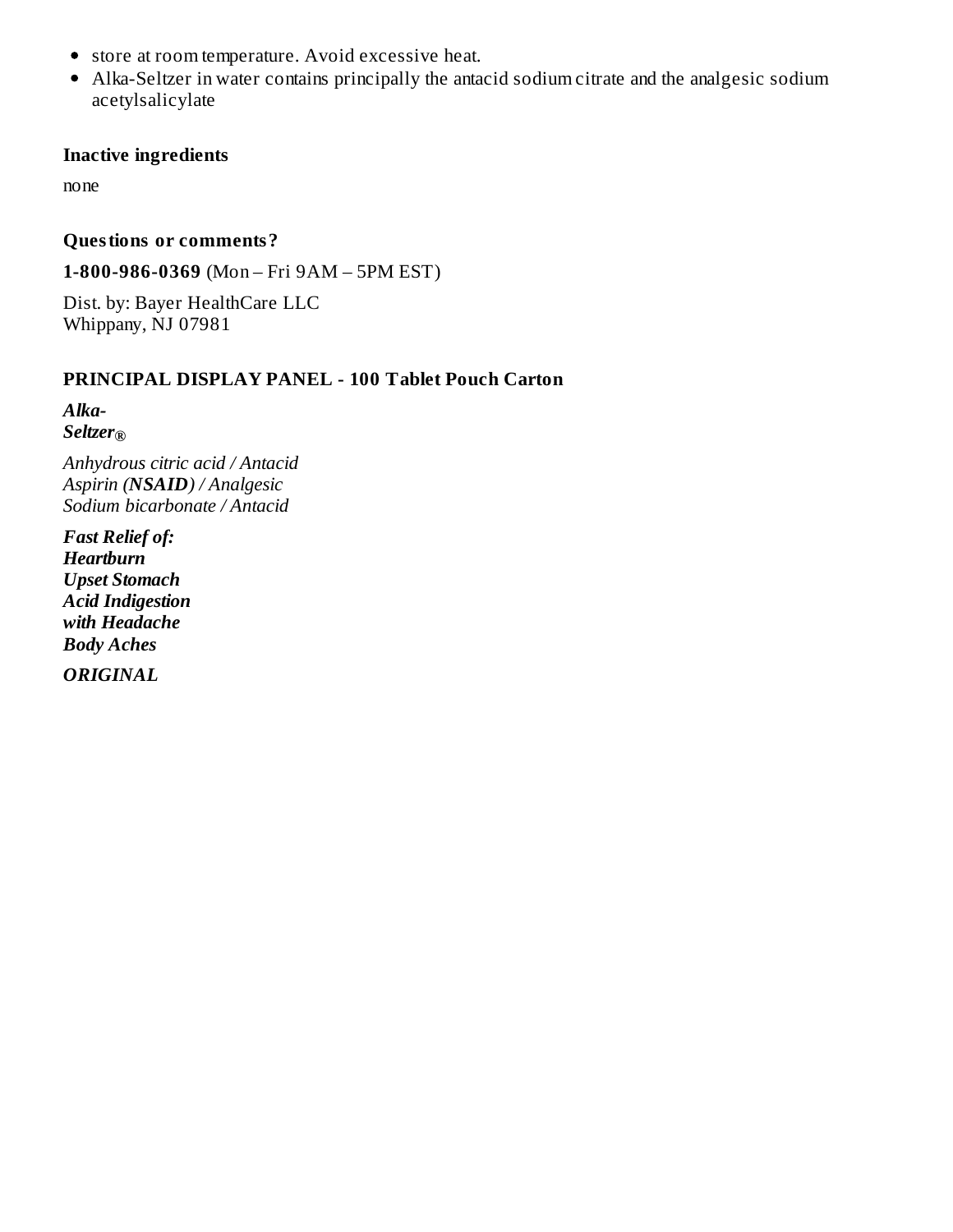- store at room temperature. Avoid excessive heat.
- Alka-Seltzer in water contains principally the antacid sodium citrate and the analgesic sodium acetylsalicylate

#### **Inactive ingredients**

none

#### **Questions or comments?**

**1-800-986-0369** (Mon – Fri 9AM – 5PM EST)

Dist. by: Bayer HealthCare LLC Whippany, NJ 07981

# **PRINCIPAL DISPLAY PANEL - 100 Tablet Pouch Carton**

*Alka-Seltzer ®*

*Anhydrous citric acid / Antacid Aspirin (NSAID) / Analgesic Sodium bicarbonate / Antacid*

*Fast Relief of: Heartburn Upset Stomach Acid Indigestion with Headache Body Aches*

*ORIGINAL*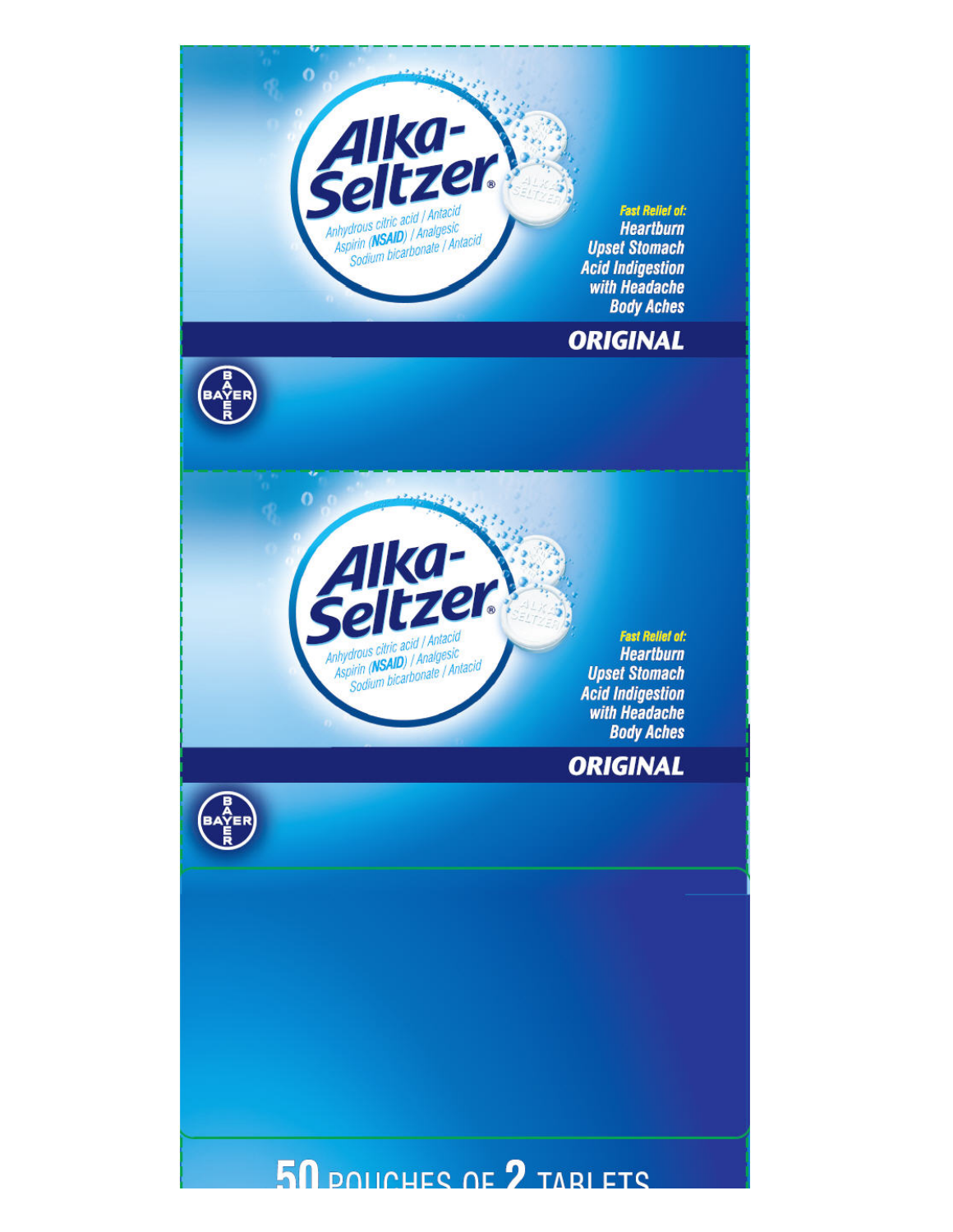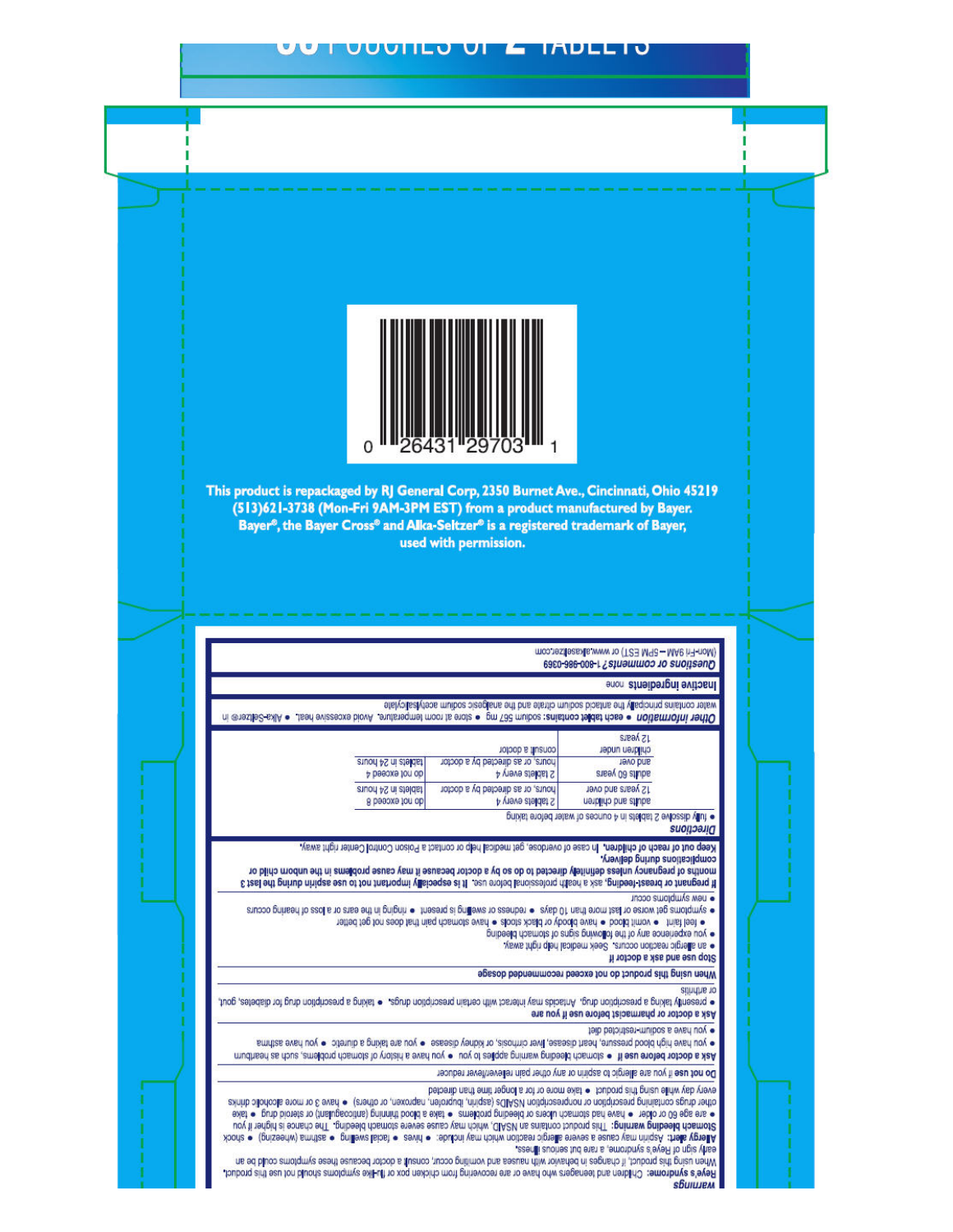#### **UUUIILU UI E IADLLI**



This product is repackaged by RJ General Corp, 2350 Burnet Ave., Cincinnati, Ohio 45219 (513)621-3738 (Mon-Fri 9AM-3PM EST) from a product manufactured by Bayer. Bayer<sup>®</sup>, the Bayer Cross<sup>®</sup> and Alka-Seltzer<sup>®</sup> is a registered trademark of Bayer, used with permission.

#### (Mon-Fri 9AM - 5PM EST) or www.alkaseltzer.com Questions or comments? 1-800-986-0369 **Hactive ingredients none**

viale contains principally the antacid sodium citrate and the analgesic sodium acetylsalcylate Other information . each tablet contains: sodium 567 mg . store at room temperatius . blood excessive had . . a Mka Selfzer in

|                     | consult a doctor                  | sreak <sub>z</sub> L<br>children under                      |
|---------------------|-----------------------------------|-------------------------------------------------------------|
| stuod 4S ni ateidat | hours, or as directed by a doctor | <b>Jevo bris</b>                                            |
| p besoxe for ob     | P Iablets every 4                 | adults 60 years                                             |
| tablets in 24 hours | hours, or as directed by a doctor | 12 years and over                                           |
| do not exceed 8     | 2 tablets every 4                 | adults and children                                         |
|                     |                                   | buiver aloran larew to securito + ULSIGROPLZ AMOSSID ARDL A |

#### Directions

Keep out of reach of children. In case of overdose, get medical help or contact a Poison Control Center right away. Complications during defined

months of pregnancy unless definitely directed to do so by a doctor because it may cause problems in the unborn child or E test off princh ningss ou of for freehold valished as a fill one order land can be apply the spin during the last inggo suigidule wau ·

· symptoms get worse or last more later of days . . The same present of indiginal and the ears or a loss of hearing occurs onbeeld rhamota bar engineerd the bar engineerd of the something of the something the speed of the something of the process that the speed of the something the speed of the speed of the speed of the speed of the speed of t

· sin allergic reaction occurs. Seek medical help right away

Stop use and ask a doctor if

When using this product do not exceed recommended dossge

or arthritis

. processuity taring a prescription drug, America may be taring the stription drugs a busing a prescription diators gout, gout Ask a doctor or pharmacist before use if you are

· you have a sodium-restricted diet

. you have high blood pressure, heart alsease, liver cirrhosis, or kidney disease . you are taking a diuretic . you have asthma Ask a doctor before use if e stomach bleeding warming apples to you e you have a history of stomach problems, and a heartburn

Do not use if you are allergic to aspirin or any other pain relever/fever reducer

every while using this product . . Pake more or for a hopon and the thected

chher drugs containing prediction or monorescriptDS (aspirin, libugone, or one of los or official or have a looking and primering a looking and the · sie age 60 or older · had stomach ulcered or bleeding problems · sake a blood spinning (anticoagulation of ake Stomach bleeding warming: This product contains an NSAID, which may cause store stomach bleeding. The chance is higher if you Alergy alert: Aspirin may cause a severe alergic reaction which include: . I as a selbs swell as asthma (principle) . Soock early sign of Reye's syndrome, a rare but serious in rese-

When using this product, if changes in behavior with nausea and vomiting occur, consult a doctor because these symptoms could be an Reye's syndrome: Children and teenagers who have or are recovering from chicken pox or flu-like symolomis and busine and busined. *<u>Shulujem</u>*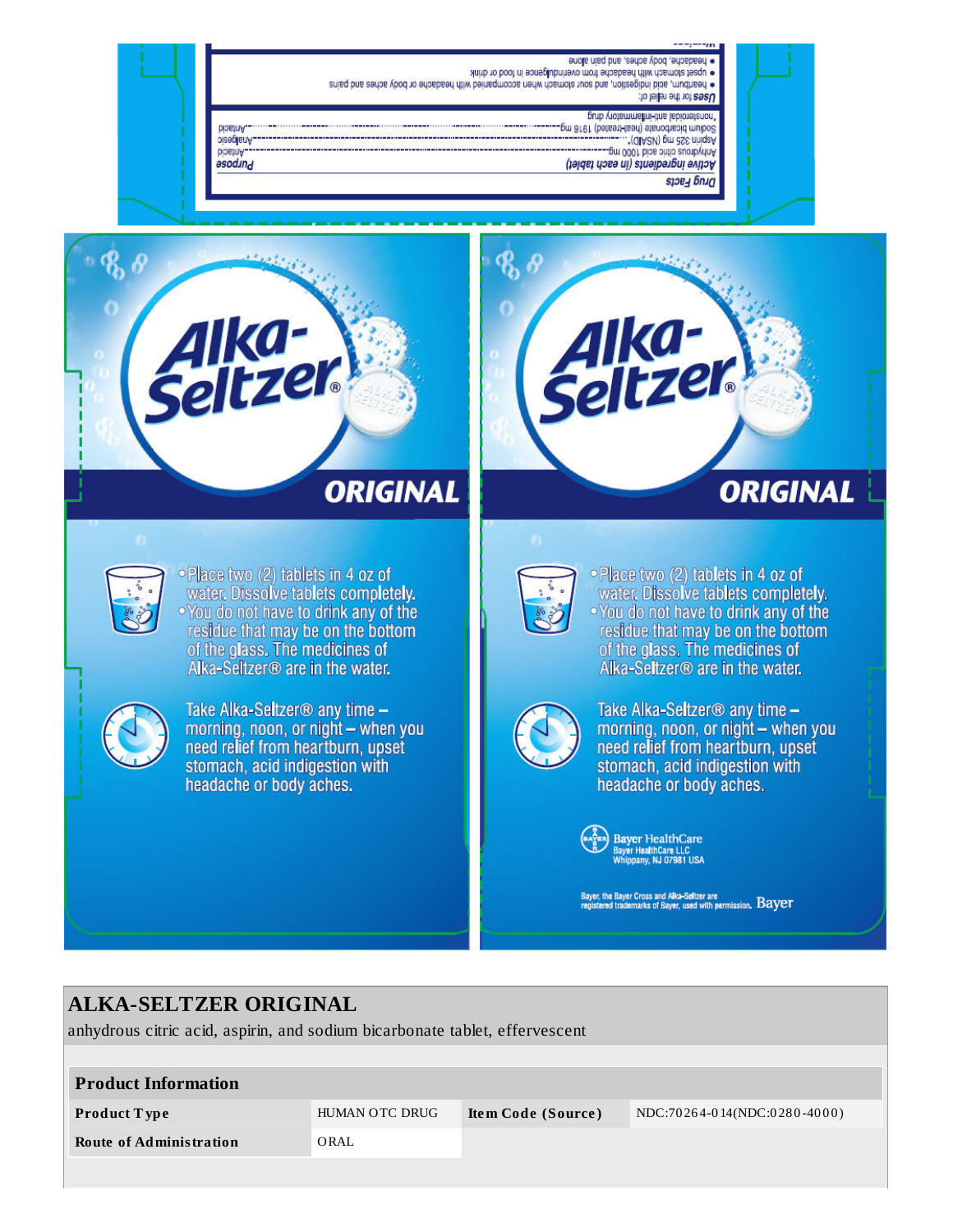#### enclis nisq bns , aerbas ybod , erbabaerd · pest stomach with headache from overindulgence in food or drink

. Bearlburn, acid bridgestion, and such stornard when accompanied rith headache or body aches and pains Uses for the relief of:

#### попавлении на востанной отличной

- (GIASV) pm aSS minds<br>Sodium bisnodus (head only to a principle management)<br>"seconducting the interference"
- Anhydrous citie aid 1000 mg. .....
	- Active ingredients (in each tablet)
		- Drug Facts



**HUISCIO** Analgesic

**Antacid** 

əsodınd

# alka-<br>eltzek **ORIGINAL**



• Place two (2) tablets in 4 oz of water. Dissolve tablets completely. •You do not have to drink any of the residue that may be on the bottom of the glass. The medicines of Alka-Seltzer<sup>®</sup> are in the water.



Take Alka-Seltzer® any time morning, noon, or night - when you need relief from heartburn, upset stomach, acid indigestion with headache or body aches.



. Place two (2) tablets in 4 oz of water. Dissolve tablets completely. . You do not have to drink any of the residue that may be on the bottom of the glass. The medicines of Alka-Seltzer<sup>®</sup> are in the water.



Take Alka-Seltzer<sup>®</sup> any time  $$ morning, noon, or night - when you need relief from heartburn, upset stomach, acid indigestion with headache or body aches.



Bayer, the Bayer Cross and Alka-Seltzer are<br>registered trademarks of Bayer, used with permission,  $\emph{Bayer}$ 

# **ALKA-SELTZER ORIGINAL**

anhydrous citric acid, aspirin, and sodium bicarbonate tablet, effervescent

| <b>Product Information</b>     |                |                    |                              |  |  |  |
|--------------------------------|----------------|--------------------|------------------------------|--|--|--|
| <b>Product Type</b>            | HUMAN OTC DRUG | Item Code (Source) | NDC:70264-014(NDC:0280-4000) |  |  |  |
| <b>Route of Administration</b> | ORAL           |                    |                              |  |  |  |
|                                |                |                    |                              |  |  |  |